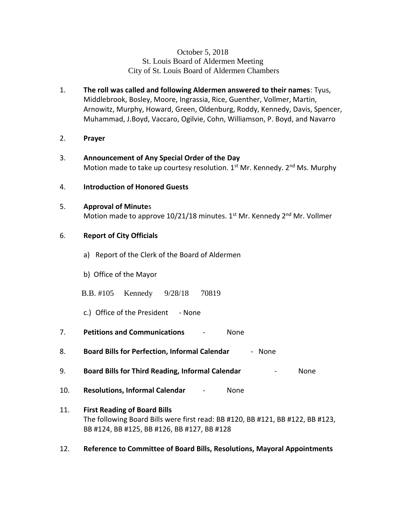## October 5, 2018 St. Louis Board of Aldermen Meeting City of St. Louis Board of Aldermen Chambers

- 1. **The roll was called and following Aldermen answered to their names**: Tyus, Middlebrook, Bosley, Moore, Ingrassia, Rice, Guenther, Vollmer, Martin, Arnowitz, Murphy, Howard, Green, Oldenburg, Roddy, Kennedy, Davis, Spencer, Muhammad, J.Boyd, Vaccaro, Ogilvie, Cohn, Williamson, P. Boyd, and Navarro
- 2. **Prayer**
- 3. **Announcement of Any Special Order of the Day** Motion made to take up courtesy resolution.  $1<sup>st</sup>$  Mr. Kennedy.  $2<sup>nd</sup>$  Ms. Murphy
- 4. **Introduction of Honored Guests**
- 5. **Approval of Minute**s Motion made to approve  $10/21/18$  minutes.  $1<sup>st</sup>$  Mr. Kennedy  $2<sup>nd</sup>$  Mr. Vollmer

## 6. **Report of City Officials**

- a) Report of the Clerk of the Board of Aldermen
- b) Office of the Mayor
- B.B. #105 Kennedy 9/28/18 70819
- c.) Office of the President None
- 7. **Petitions and Communications** None
- 8. **Board Bills for Perfection, Informal Calendar** None
- 9. **Board Bills for Third Reading, Informal Calendar** None
- 10. **Resolutions, Informal Calendar** None
- 11. **First Reading of Board Bills** The following Board Bills were first read: BB #120, BB #121, BB #122, BB #123, BB #124, BB #125, BB #126, BB #127, BB #128
- 12. **Reference to Committee of Board Bills, Resolutions, Mayoral Appointments**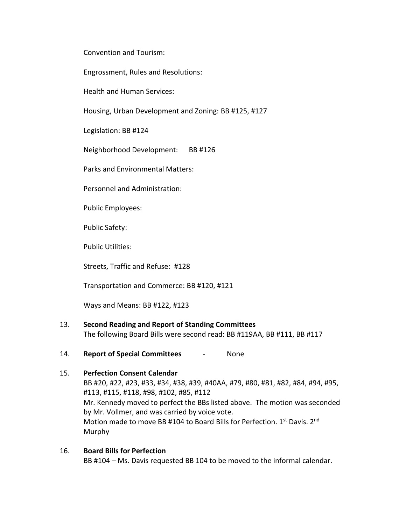Convention and Tourism:

Engrossment, Rules and Resolutions:

Health and Human Services:

Housing, Urban Development and Zoning: BB #125, #127

Legislation: BB #124

Neighborhood Development: BB #126

Parks and Environmental Matters:

Personnel and Administration:

Public Employees:

Public Safety:

Public Utilities:

Streets, Traffic and Refuse: #128

Transportation and Commerce: BB #120, #121

Ways and Means: BB #122, #123

### 13. **Second Reading and Report of Standing Committees**

The following Board Bills were second read: BB #119AA, BB #111, BB #117

14. **Report of Special Committees** - None

# 15. **Perfection Consent Calendar** BB #20, #22, #23, #33, #34, #38, #39, #40AA, #79, #80, #81, #82, #84, #94, #95, #113, #115, #118, #98, #102, #85, #112 Mr. Kennedy moved to perfect the BBs listed above. The motion was seconded by Mr. Vollmer, and was carried by voice vote. Motion made to move BB #104 to Board Bills for Perfection. 1st Davis. 2nd Murphy

16. **Board Bills for Perfection** BB #104 – Ms. Davis requested BB 104 to be moved to the informal calendar.